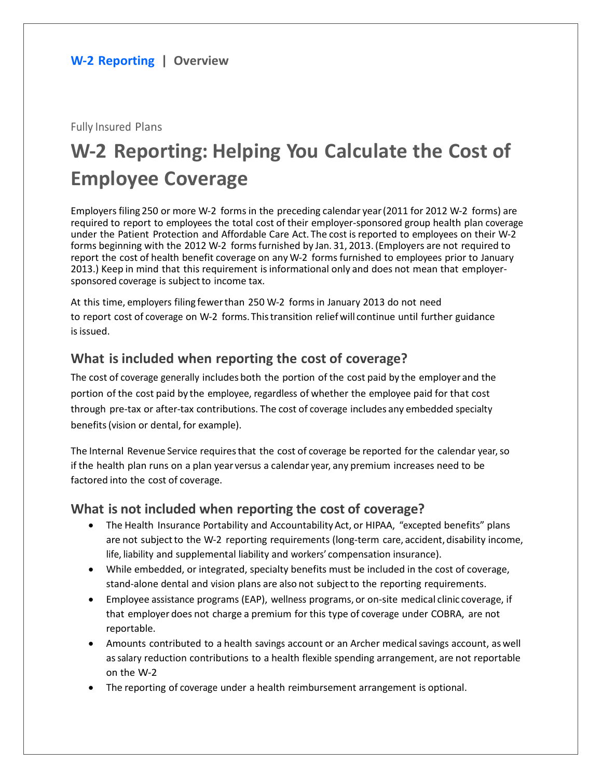Fully Insured Plans

# **W-2 Reporting: Helping You Calculate the Cost of Employee Coverage**

Employers filing 250 or more W-2 forms in the preceding calendar year(2011 for 2012 W-2 forms) are required to report to employees the total cost of their employer-sponsored group health plan coverage under the Patient Protection and Affordable Care Act. The cost isreported to employees on their W-2 forms beginning with the 2012 W-2 formsfurnished by Jan. 31, 2013.(Employers are not required to report the cost of health benefit coverage on any W-2 forms furnished to employees prior to January 2013.) Keep in mind that this requirement isinformational only and does not mean that employersponsored coverage is subject to income tax.

At this time, employers filing fewerthan 250 W-2 forms in January 2013 do not need to report cost of coverage on W-2 forms.Thistransition reliefwill continue until further guidance is issued.

## **What is included when reporting the cost of coverage?**

The cost of coverage generally includes both the portion of the cost paid by the employer and the portion of the cost paid by the employee, regardless of whether the employee paid for that cost through pre-tax or after-tax contributions. The cost of coverage includes any embedded specialty benefits(vision or dental, for example).

The Internal Revenue Service requiresthat the cost of coverage be reported for the calendar year,so if the health plan runs on a plan year versus a calendar year, any premium increases need to be factored into the cost of coverage.

## **What is not included when reporting the cost of coverage?**

- The Health Insurance Portability and Accountability Act, or HIPAA, "excepted benefits" plans are not subject to the W-2 reporting requirements (long-term care, accident, disability income, life, liability and supplemental liability and workers' compensation insurance).
- While embedded, or integrated, specialty benefits must be included in the cost of coverage, stand-alone dental and vision plans are also not subjectto the reporting requirements.
- Employee assistance programs (EAP), wellness programs, or on-site medical clinic coverage, if that employer does not charge a premium for this type of coverage under COBRA, are not reportable.
- Amounts contributed to a health savings account or an Archer medicalsavings account, as well assalary reduction contributions to a health flexible spending arrangement, are not reportable on the W-2
- The reporting of coverage under a health reimbursement arrangement is optional.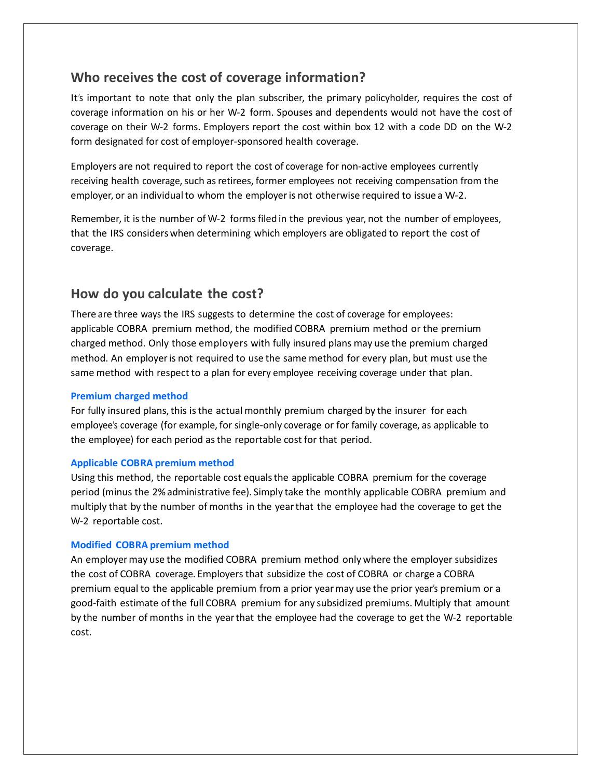## **Who receives the cost of coverage information?**

It's important to note that only the plan subscriber, the primary policyholder, requires the cost of coverage information on his or her W-2 form. Spouses and dependents would not have the cost of coverage on their W-2 forms. Employers report the cost within box 12 with a code DD on the W-2 form designated for cost of employer-sponsored health coverage.

Employers are not required to report the cost of coverage for non-active employees currently receiving health coverage, such as retirees, former employees not receiving compensation from the employer, or an individual to whom the employer is not otherwise required to issue a W-2.

Remember, it isthe number of W-2 forms filed in the previous year, not the number of employees, that the IRS considerswhen determining which employers are obligated to report the cost of coverage.

## **How do you calculate the cost?**

There are three ways the IRS suggests to determine the cost of coverage for employees: applicable COBRA premium method, the modified COBRA premium method or the premium charged method. Only those employers with fully insured plans may use the premium charged method. An employeris not required to use the same method for every plan, but must use the same method with respect to a plan for every employee receiving coverage under that plan.

#### **Premium charged method**

For fully insured plans, this is the actual monthly premium charged by the insurer for each employee's coverage (for example, for single-only coverage or for family coverage, as applicable to the employee) for each period asthe reportable cost for that period.

#### **Applicable COBRA premium method**

Using this method, the reportable cost equalsthe applicable COBRA premium for the coverage period (minus the 2%administrative fee). Simply take the monthly applicable COBRA premium and multiply that by the number of months in the yearthat the employee had the coverage to get the W-2 reportable cost.

#### **Modified COBRA premium method**

An employermay use the modified COBRA premium method only where the employer subsidizes the cost of COBRA coverage. Employers that subsidize the cost of COBRA or charge a COBRA premium equal to the applicable premium from a prior yearmay use the prior year's premium or a good-faith estimate of the full COBRA premium for any subsidized premiums. Multiply that amount by the number of months in the yearthat the employee had the coverage to get the W-2 reportable cost.